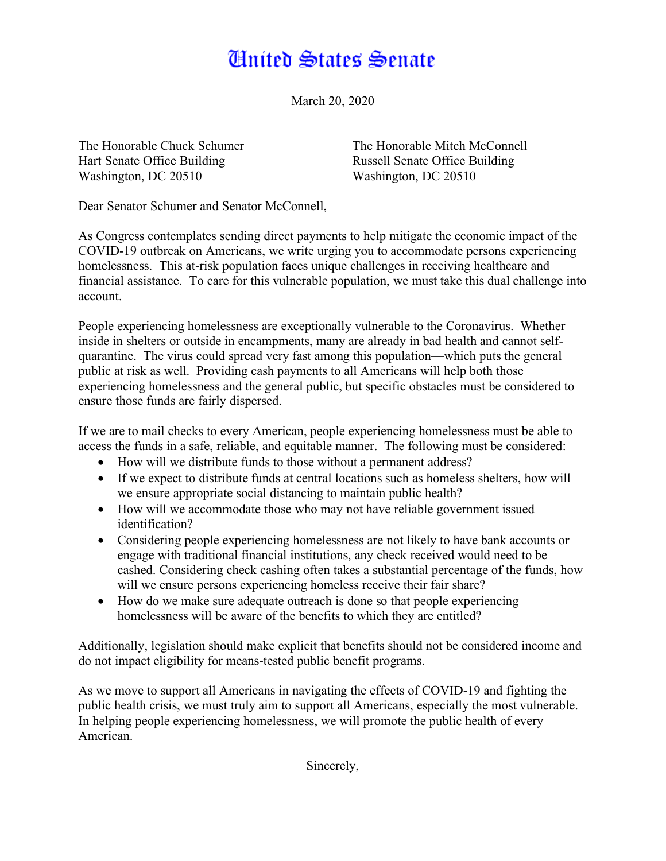## **Cinited States Senate**

March 20, 2020

Hart Senate Office Building Russell Senate Office Building Washington, DC 20510 Washington, DC 20510

The Honorable Chuck Schumer The Honorable Mitch McConnell

Dear Senator Schumer and Senator McConnell,

As Congress contemplates sending direct payments to help mitigate the economic impact of the COVID-19 outbreak on Americans, we write urging you to accommodate persons experiencing homelessness. This at-risk population faces unique challenges in receiving healthcare and financial assistance. To care for this vulnerable population, we must take this dual challenge into account.

People experiencing homelessness are exceptionally vulnerable to the Coronavirus. Whether inside in shelters or outside in encampments, many are already in bad health and cannot selfquarantine. The virus could spread very fast among this population—which puts the general public at risk as well. Providing cash payments to all Americans will help both those experiencing homelessness and the general public, but specific obstacles must be considered to ensure those funds are fairly dispersed.

If we are to mail checks to every American, people experiencing homelessness must be able to access the funds in a safe, reliable, and equitable manner. The following must be considered:

- How will we distribute funds to those without a permanent address?
- If we expect to distribute funds at central locations such as homeless shelters, how will we ensure appropriate social distancing to maintain public health?
- How will we accommodate those who may not have reliable government issued identification?
- Considering people experiencing homelessness are not likely to have bank accounts or engage with traditional financial institutions, any check received would need to be cashed. Considering check cashing often takes a substantial percentage of the funds, how will we ensure persons experiencing homeless receive their fair share?
- How do we make sure adequate outreach is done so that people experiencing homelessness will be aware of the benefits to which they are entitled?

Additionally, legislation should make explicit that benefits should not be considered income and do not impact eligibility for means-tested public benefit programs.

As we move to support all Americans in navigating the effects of COVID-19 and fighting the public health crisis, we must truly aim to support all Americans, especially the most vulnerable. In helping people experiencing homelessness, we will promote the public health of every American.

Sincerely,